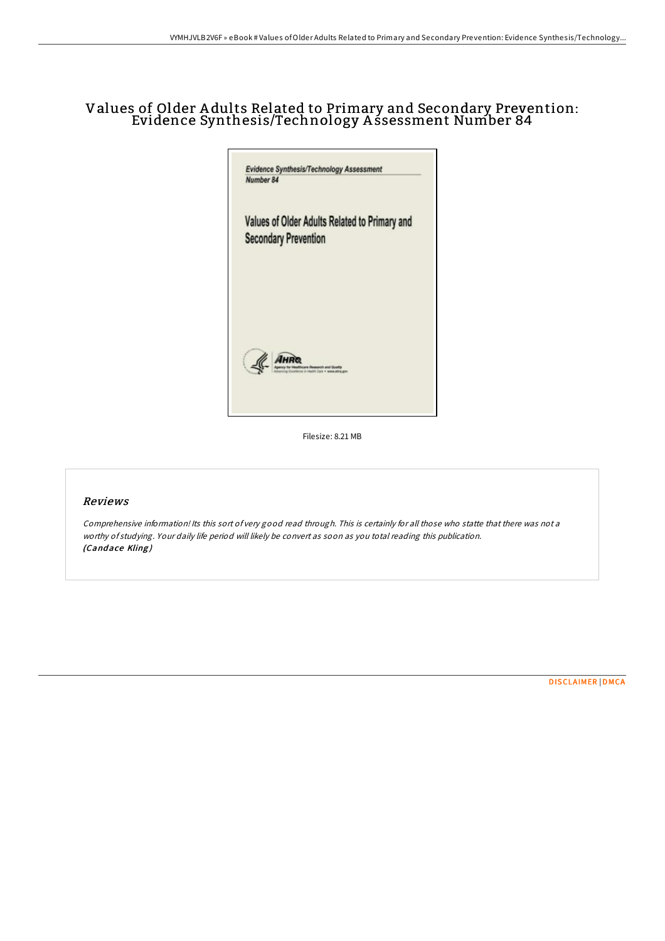## Values of Older A dults Related to Primary and Secondary Prevention: Evidence Synthesis/Technology A ssessment Number 84



Filesize: 8.21 MB

## Reviews

Comprehensive information! Its this sort of very good read through. This is certainly for all those who statte that there was not <sup>a</sup> worthy of studying. Your daily life period will likely be convert as soon as you total reading this publication. (Candace Kling)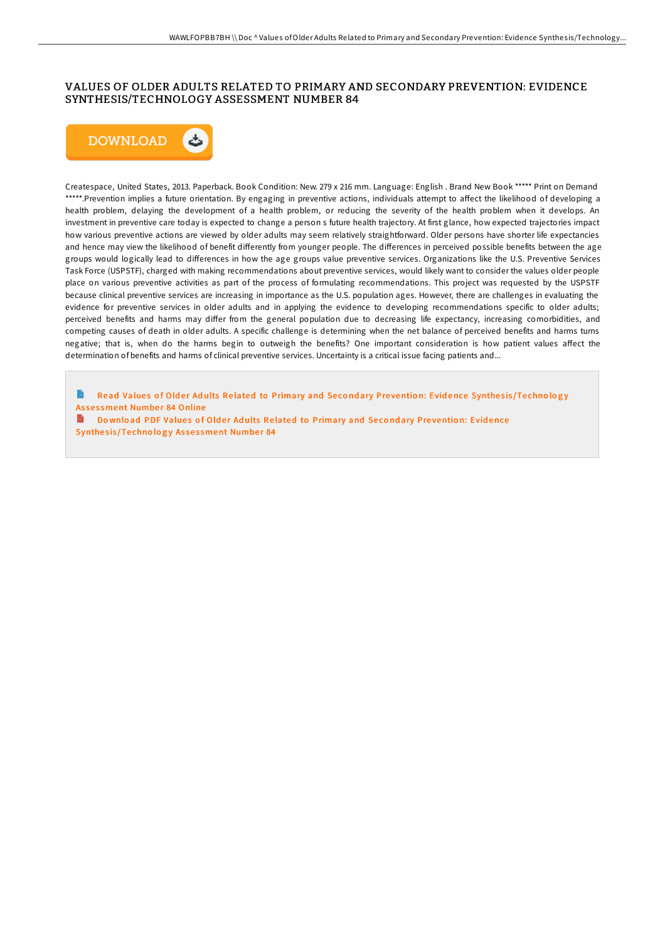## VALUES OF OLDER ADULTS RELATED TO PRIMARY AND SECONDARY PREVENTION: EVIDENCE SYNTHESIS/TECHNOLOGY ASSESSMENT NUMBER 84



Createspace, United States, 2013. Paperback. Book Condition: New. 279 x 216 mm. Language: English . Brand New Book \*\*\*\*\* Print on Demand \*\*\*\*\*.Prevention implies a future orientation. By engaging in preventive actions, individuals attempt to affect the likelihood of developing a health problem, delaying the development of a health problem, or reducing the severity of the health problem when it develops. An investment in preventive care today is expected to change a person s future health trajectory. At first glance, how expected trajectories impact how various preventive actions are viewed by older adults may seem relatively straightforward. Older persons have shorter life expectancies and hence may view the likelihood of benefit differently from younger people. The differences in perceived possible benefits between the age groups would logically lead to differences in how the age groups value preventive services. Organizations like the U.S. Preventive Services Task Force (USPSTF), charged with making recommendations about preventive services, would likely want to consider the values older people place on various preventive activities as part of the process of formulating recommendations. This project was requested by the USPSTF because clinical preventive services are increasing in importance as the U.S. population ages. However, there are challenges in evaluating the evidence for preventive services in older adults and in applying the evidence to developing recommendations specific to older adults; perceived benefits and harms may differ from the general population due to decreasing life expectancy, increasing comorbidities, and competing causes of death in older adults. A specific challenge is determining when the net balance of perceived benefits and harms turns negative; that is, when do the harms begin to outweigh the benefits? One important consideration is how patient values affect the determination of benefits and harms of clinical preventive services. Uncertainty is a critical issue facing patients and...

Read Values of Older Adults Related to [Primary](http://almighty24.tech/values-of-older-adults-related-to-primary-and-se.html) and Secondary Prevention: Evidence Synthesis/Technology Assessment Number 84 Online

Download PDF Values of Older Adults Related to [Primary](http://almighty24.tech/values-of-older-adults-related-to-primary-and-se.html) and Secondary Prevention: Evidence Synthesis/Technology Assessment Number 84